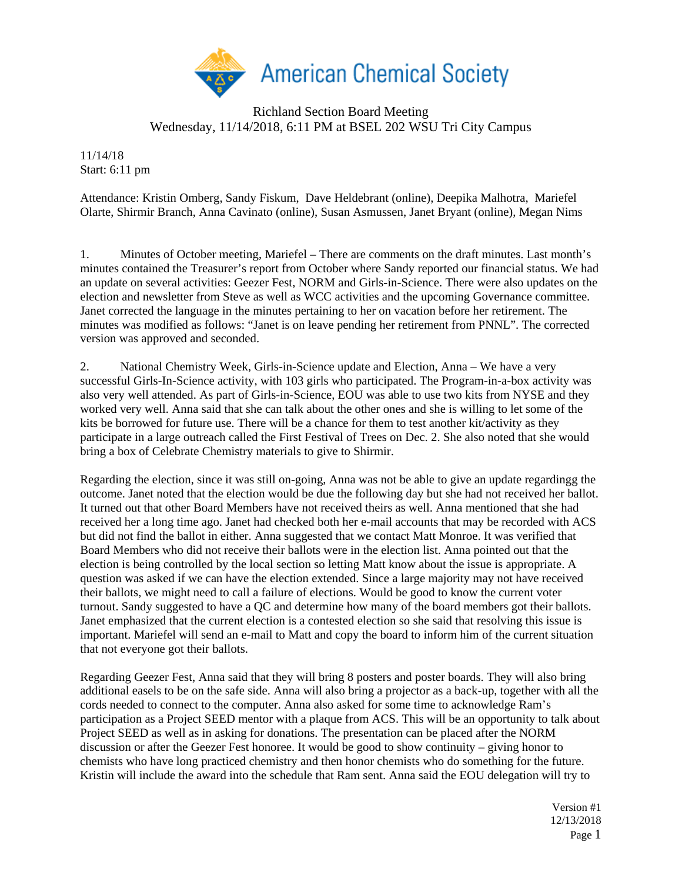

## Richland Section Board Meeting Wednesday, 11/14/2018, 6:11 PM at BSEL 202 WSU Tri City Campus

11/14/18 Start: 6:11 pm

Attendance: Kristin Omberg, Sandy Fiskum, Dave Heldebrant (online), Deepika Malhotra, Mariefel Olarte, Shirmir Branch, Anna Cavinato (online), Susan Asmussen, Janet Bryant (online), Megan Nims

1. Minutes of October meeting, Mariefel – There are comments on the draft minutes. Last month's minutes contained the Treasurer's report from October where Sandy reported our financial status. We had an update on several activities: Geezer Fest, NORM and Girls-in-Science. There were also updates on the election and newsletter from Steve as well as WCC activities and the upcoming Governance committee. Janet corrected the language in the minutes pertaining to her on vacation before her retirement. The minutes was modified as follows: "Janet is on leave pending her retirement from PNNL". The corrected version was approved and seconded.

2. National Chemistry Week, Girls-in-Science update and Election, Anna – We have a very successful Girls-In-Science activity, with 103 girls who participated. The Program-in-a-box activity was also very well attended. As part of Girls-in-Science, EOU was able to use two kits from NYSE and they worked very well. Anna said that she can talk about the other ones and she is willing to let some of the kits be borrowed for future use. There will be a chance for them to test another kit/activity as they participate in a large outreach called the First Festival of Trees on Dec. 2. She also noted that she would bring a box of Celebrate Chemistry materials to give to Shirmir.

Regarding the election, since it was still on-going, Anna was not be able to give an update regardingg the outcome. Janet noted that the election would be due the following day but she had not received her ballot. It turned out that other Board Members have not received theirs as well. Anna mentioned that she had received her a long time ago. Janet had checked both her e-mail accounts that may be recorded with ACS but did not find the ballot in either. Anna suggested that we contact Matt Monroe. It was verified that Board Members who did not receive their ballots were in the election list. Anna pointed out that the election is being controlled by the local section so letting Matt know about the issue is appropriate. A question was asked if we can have the election extended. Since a large majority may not have received their ballots, we might need to call a failure of elections. Would be good to know the current voter turnout. Sandy suggested to have a QC and determine how many of the board members got their ballots. Janet emphasized that the current election is a contested election so she said that resolving this issue is important. Mariefel will send an e-mail to Matt and copy the board to inform him of the current situation that not everyone got their ballots.

Regarding Geezer Fest, Anna said that they will bring 8 posters and poster boards. They will also bring additional easels to be on the safe side. Anna will also bring a projector as a back-up, together with all the cords needed to connect to the computer. Anna also asked for some time to acknowledge Ram's participation as a Project SEED mentor with a plaque from ACS. This will be an opportunity to talk about Project SEED as well as in asking for donations. The presentation can be placed after the NORM discussion or after the Geezer Fest honoree. It would be good to show continuity – giving honor to chemists who have long practiced chemistry and then honor chemists who do something for the future. Kristin will include the award into the schedule that Ram sent. Anna said the EOU delegation will try to

> Version #1 12/13/2018 Page 1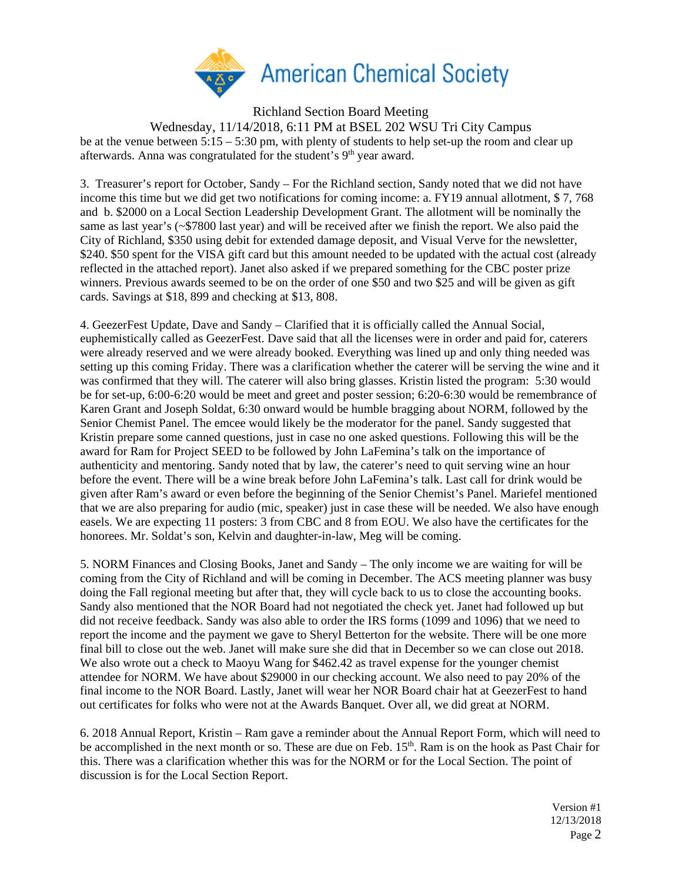

Richland Section Board Meeting Wednesday, 11/14/2018, 6:11 PM at BSEL 202 WSU Tri City Campus be at the venue between 5:15 – 5:30 pm, with plenty of students to help set-up the room and clear up afterwards. Anna was congratulated for the student's 9<sup>th</sup> year award.

3. Treasurer's report for October, Sandy – For the Richland section, Sandy noted that we did not have income this time but we did get two notifications for coming income: a. FY19 annual allotment, \$ 7, 768 and b. \$2000 on a Local Section Leadership Development Grant. The allotment will be nominally the same as last year's (~\$7800 last year) and will be received after we finish the report. We also paid the City of Richland, \$350 using debit for extended damage deposit, and Visual Verve for the newsletter, \$240. \$50 spent for the VISA gift card but this amount needed to be updated with the actual cost (already reflected in the attached report). Janet also asked if we prepared something for the CBC poster prize winners. Previous awards seemed to be on the order of one \$50 and two \$25 and will be given as gift cards. Savings at \$18, 899 and checking at \$13, 808.

4. GeezerFest Update, Dave and Sandy – Clarified that it is officially called the Annual Social, euphemistically called as GeezerFest. Dave said that all the licenses were in order and paid for, caterers were already reserved and we were already booked. Everything was lined up and only thing needed was setting up this coming Friday. There was a clarification whether the caterer will be serving the wine and it was confirmed that they will. The caterer will also bring glasses. Kristin listed the program: 5:30 would be for set-up, 6:00-6:20 would be meet and greet and poster session; 6:20-6:30 would be remembrance of Karen Grant and Joseph Soldat, 6:30 onward would be humble bragging about NORM, followed by the Senior Chemist Panel. The emcee would likely be the moderator for the panel. Sandy suggested that Kristin prepare some canned questions, just in case no one asked questions. Following this will be the award for Ram for Project SEED to be followed by John LaFemina's talk on the importance of authenticity and mentoring. Sandy noted that by law, the caterer's need to quit serving wine an hour before the event. There will be a wine break before John LaFemina's talk. Last call for drink would be given after Ram's award or even before the beginning of the Senior Chemist's Panel. Mariefel mentioned that we are also preparing for audio (mic, speaker) just in case these will be needed. We also have enough easels. We are expecting 11 posters: 3 from CBC and 8 from EOU. We also have the certificates for the honorees. Mr. Soldat's son, Kelvin and daughter-in-law, Meg will be coming.

5. NORM Finances and Closing Books, Janet and Sandy – The only income we are waiting for will be coming from the City of Richland and will be coming in December. The ACS meeting planner was busy doing the Fall regional meeting but after that, they will cycle back to us to close the accounting books. Sandy also mentioned that the NOR Board had not negotiated the check yet. Janet had followed up but did not receive feedback. Sandy was also able to order the IRS forms (1099 and 1096) that we need to report the income and the payment we gave to Sheryl Betterton for the website. There will be one more final bill to close out the web. Janet will make sure she did that in December so we can close out 2018. We also wrote out a check to Maoyu Wang for \$462.42 as travel expense for the younger chemist attendee for NORM. We have about \$29000 in our checking account. We also need to pay 20% of the final income to the NOR Board. Lastly, Janet will wear her NOR Board chair hat at GeezerFest to hand out certificates for folks who were not at the Awards Banquet. Over all, we did great at NORM.

6. 2018 Annual Report, Kristin – Ram gave a reminder about the Annual Report Form, which will need to be accomplished in the next month or so. These are due on Feb. 15<sup>th</sup>. Ram is on the hook as Past Chair for this. There was a clarification whether this was for the NORM or for the Local Section. The point of discussion is for the Local Section Report.

> Version #1 12/13/2018 Page 2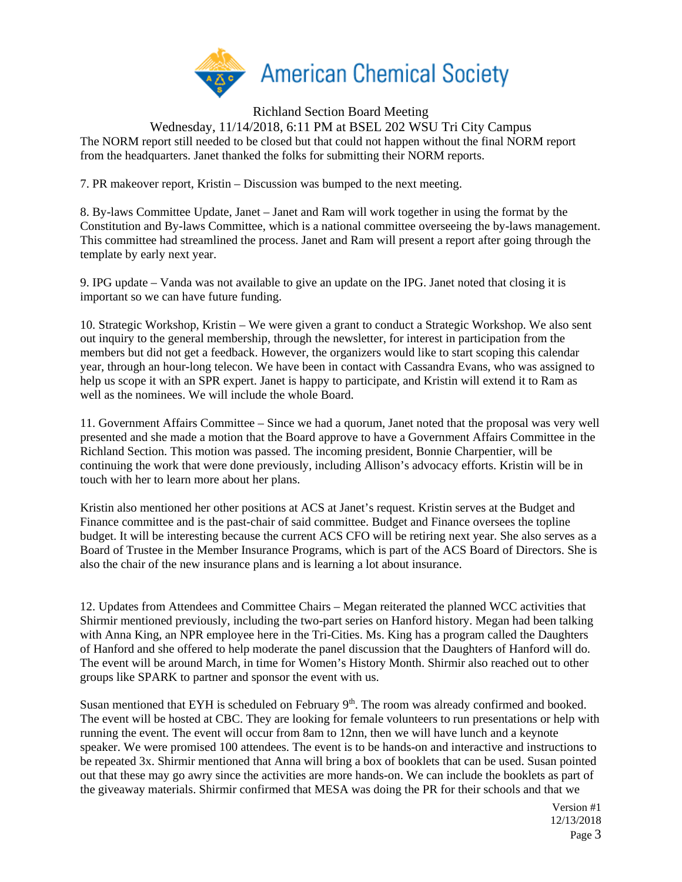

Richland Section Board Meeting Wednesday, 11/14/2018, 6:11 PM at BSEL 202 WSU Tri City Campus The NORM report still needed to be closed but that could not happen without the final NORM report from the headquarters. Janet thanked the folks for submitting their NORM reports.

7. PR makeover report, Kristin – Discussion was bumped to the next meeting.

8. By-laws Committee Update, Janet – Janet and Ram will work together in using the format by the Constitution and By-laws Committee, which is a national committee overseeing the by-laws management. This committee had streamlined the process. Janet and Ram will present a report after going through the template by early next year.

9. IPG update – Vanda was not available to give an update on the IPG. Janet noted that closing it is important so we can have future funding.

10. Strategic Workshop, Kristin – We were given a grant to conduct a Strategic Workshop. We also sent out inquiry to the general membership, through the newsletter, for interest in participation from the members but did not get a feedback. However, the organizers would like to start scoping this calendar year, through an hour-long telecon. We have been in contact with Cassandra Evans, who was assigned to help us scope it with an SPR expert. Janet is happy to participate, and Kristin will extend it to Ram as well as the nominees. We will include the whole Board.

11. Government Affairs Committee – Since we had a quorum, Janet noted that the proposal was very well presented and she made a motion that the Board approve to have a Government Affairs Committee in the Richland Section. This motion was passed. The incoming president, Bonnie Charpentier, will be continuing the work that were done previously, including Allison's advocacy efforts. Kristin will be in touch with her to learn more about her plans.

Kristin also mentioned her other positions at ACS at Janet's request. Kristin serves at the Budget and Finance committee and is the past-chair of said committee. Budget and Finance oversees the topline budget. It will be interesting because the current ACS CFO will be retiring next year. She also serves as a Board of Trustee in the Member Insurance Programs, which is part of the ACS Board of Directors. She is also the chair of the new insurance plans and is learning a lot about insurance.

12. Updates from Attendees and Committee Chairs – Megan reiterated the planned WCC activities that Shirmir mentioned previously, including the two-part series on Hanford history. Megan had been talking with Anna King, an NPR employee here in the Tri-Cities. Ms. King has a program called the Daughters of Hanford and she offered to help moderate the panel discussion that the Daughters of Hanford will do. The event will be around March, in time for Women's History Month. Shirmir also reached out to other groups like SPARK to partner and sponsor the event with us.

Susan mentioned that EYH is scheduled on February  $9<sup>th</sup>$ . The room was already confirmed and booked. The event will be hosted at CBC. They are looking for female volunteers to run presentations or help with running the event. The event will occur from 8am to 12nn, then we will have lunch and a keynote speaker. We were promised 100 attendees. The event is to be hands-on and interactive and instructions to be repeated 3x. Shirmir mentioned that Anna will bring a box of booklets that can be used. Susan pointed out that these may go awry since the activities are more hands-on. We can include the booklets as part of the giveaway materials. Shirmir confirmed that MESA was doing the PR for their schools and that we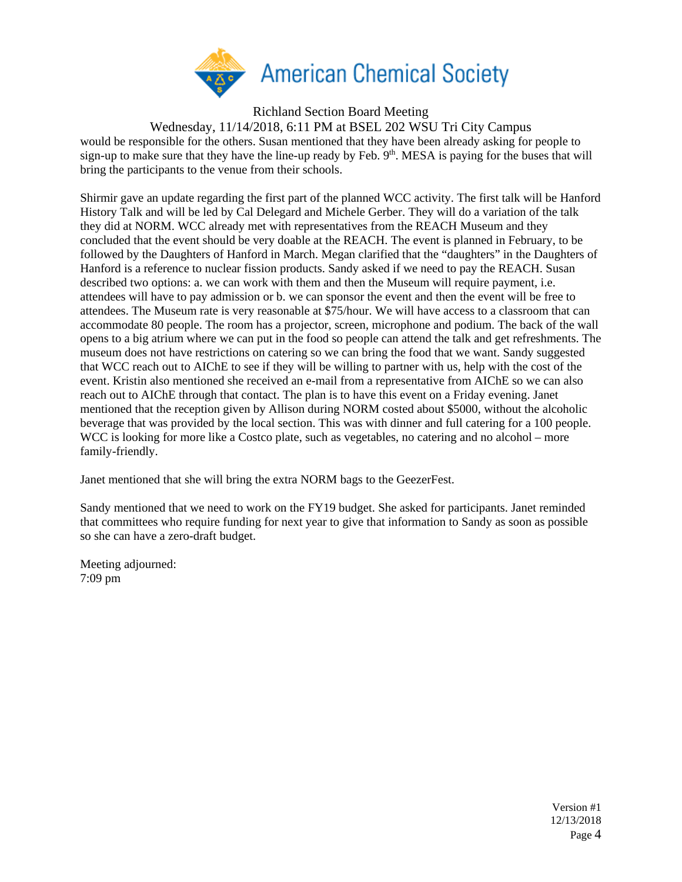

Richland Section Board Meeting

Wednesday, 11/14/2018, 6:11 PM at BSEL 202 WSU Tri City Campus would be responsible for the others. Susan mentioned that they have been already asking for people to sign-up to make sure that they have the line-up ready by Feb. 9<sup>th</sup>. MESA is paying for the buses that will bring the participants to the venue from their schools.

Shirmir gave an update regarding the first part of the planned WCC activity. The first talk will be Hanford History Talk and will be led by Cal Delegard and Michele Gerber. They will do a variation of the talk they did at NORM. WCC already met with representatives from the REACH Museum and they concluded that the event should be very doable at the REACH. The event is planned in February, to be followed by the Daughters of Hanford in March. Megan clarified that the "daughters" in the Daughters of Hanford is a reference to nuclear fission products. Sandy asked if we need to pay the REACH. Susan described two options: a. we can work with them and then the Museum will require payment, i.e. attendees will have to pay admission or b. we can sponsor the event and then the event will be free to attendees. The Museum rate is very reasonable at \$75/hour. We will have access to a classroom that can accommodate 80 people. The room has a projector, screen, microphone and podium. The back of the wall opens to a big atrium where we can put in the food so people can attend the talk and get refreshments. The museum does not have restrictions on catering so we can bring the food that we want. Sandy suggested that WCC reach out to AIChE to see if they will be willing to partner with us, help with the cost of the event. Kristin also mentioned she received an e-mail from a representative from AIChE so we can also reach out to AIChE through that contact. The plan is to have this event on a Friday evening. Janet mentioned that the reception given by Allison during NORM costed about \$5000, without the alcoholic beverage that was provided by the local section. This was with dinner and full catering for a 100 people. WCC is looking for more like a Costco plate, such as vegetables, no catering and no alcohol – more family-friendly.

Janet mentioned that she will bring the extra NORM bags to the GeezerFest.

Sandy mentioned that we need to work on the FY19 budget. She asked for participants. Janet reminded that committees who require funding for next year to give that information to Sandy as soon as possible so she can have a zero-draft budget.

Meeting adjourned: 7:09 pm